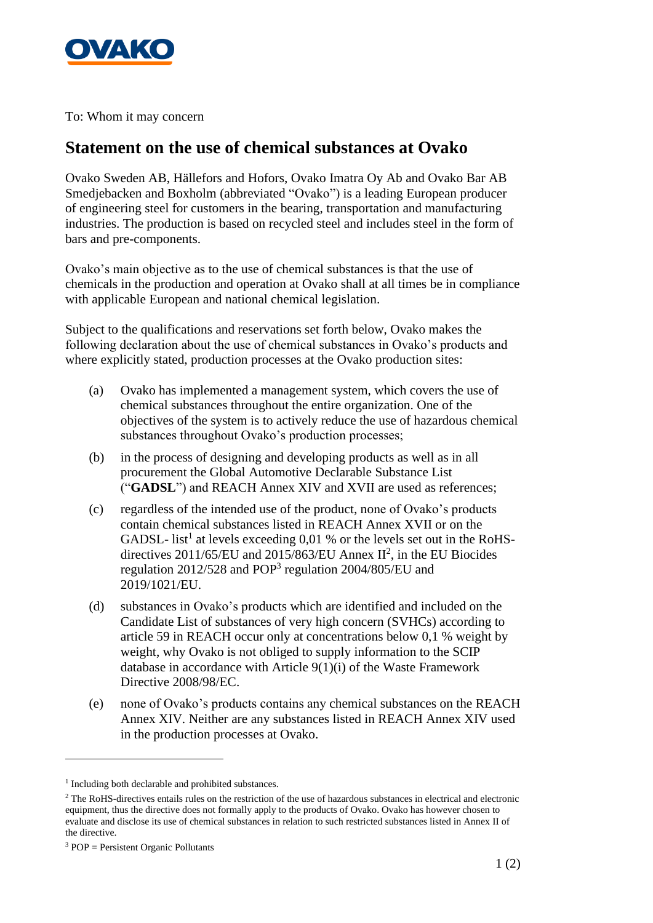

To: Whom it may concern

## **Statement on the use of chemical substances at Ovako**

Ovako Sweden AB, Hällefors and Hofors, Ovako Imatra Oy Ab and Ovako Bar AB Smedjebacken and Boxholm (abbreviated "Ovako") is a leading European producer of engineering steel for customers in the bearing, transportation and manufacturing industries. The production is based on recycled steel and includes steel in the form of bars and pre-components.

Ovako's main objective as to the use of chemical substances is that the use of chemicals in the production and operation at Ovako shall at all times be in compliance with applicable European and national chemical legislation.

Subject to the qualifications and reservations set forth below, Ovako makes the following declaration about the use of chemical substances in Ovako's products and where explicitly stated, production processes at the Ovako production sites:

- (a) Ovako has implemented a management system, which covers the use of chemical substances throughout the entire organization. One of the objectives of the system is to actively reduce the use of hazardous chemical substances throughout Ovako's production processes;
- (b) in the process of designing and developing products as well as in all procurement the Global Automotive Declarable Substance List ("**GADSL**") and REACH Annex XIV and XVII are used as references;
- (c) regardless of the intended use of the product, none of Ovako's products contain chemical substances listed in REACH Annex XVII or on the GADSL- list<sup>1</sup> at levels exceeding  $0.01$  % or the levels set out in the RoHSdirectives  $2011/65/EU$  and  $2015/863/EU$  Annex  $II^2$ , in the EU Biocides regulation 2012/528 and POP<sup>3</sup> regulation 2004/805/EU and 2019/1021/EU.
- (d) substances in Ovako's products which are identified and included on the Candidate List of substances of very high concern (SVHCs) according to article 59 in REACH occur only at concentrations below 0,1 % weight by weight, why Ovako is not obliged to supply information to the SCIP database in accordance with Article 9(1)(i) of the Waste Framework Directive 2008/98/EC.
- (e) none of Ovako's products contains any chemical substances on the REACH Annex XIV. Neither are any substances listed in REACH Annex XIV used in the production processes at Ovako.

<sup>&</sup>lt;sup>1</sup> Including both declarable and prohibited substances.

<sup>&</sup>lt;sup>2</sup> The RoHS-directives entails rules on the restriction of the use of hazardous substances in electrical and electronic equipment, thus the directive does not formally apply to the products of Ovako. Ovako has however chosen to evaluate and disclose its use of chemical substances in relation to such restricted substances listed in Annex II of the directive.

 $3 POP = $Perisi$ ent Organic Pollutants$